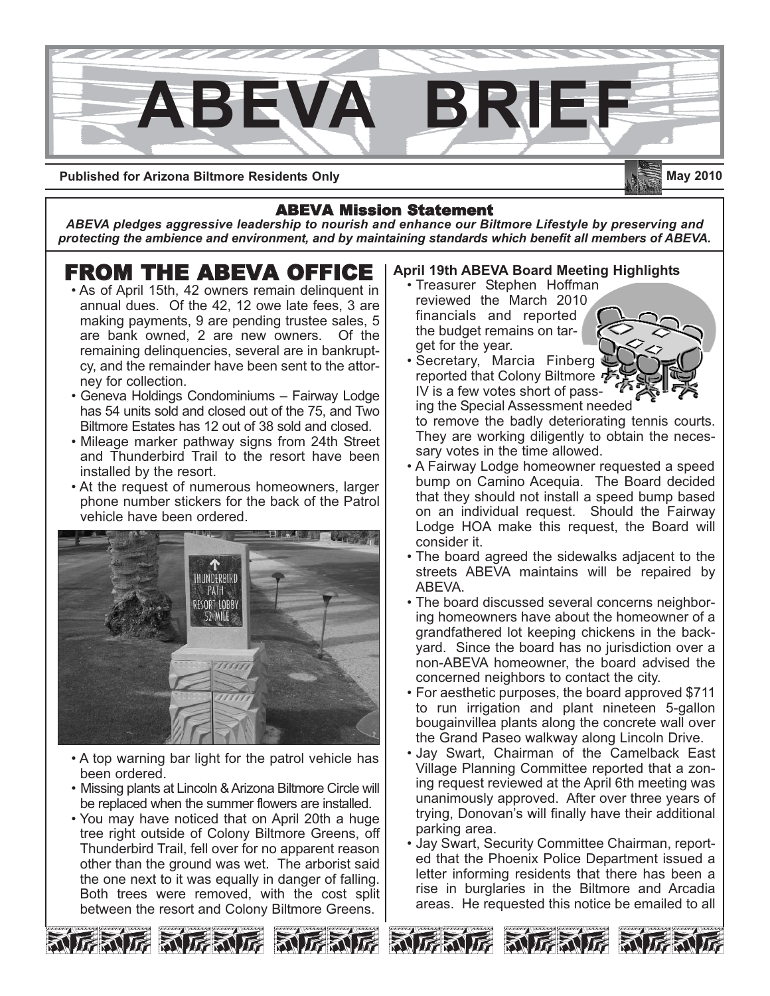

**Published for Arizona Biltmore Residents Only**

### **May 2010**

#### ABEVA Mission Statement

*ABEVA pledges aggressive leadership to nourish and enhance our Biltmore Lifestyle by preserving and protecting the ambience and environment, and by maintaining standards which benefit all members of ABEVA.*

# **FROM THE ABEVA OFFICE**<br>• As of April 15th, 42 owners remain delinquent in

- annual dues. Of the 42, 12 owe late fees, 3 are making payments, 9 are pending trustee sales, 5 are bank owned, 2 are new owners. Of the remaining delinquencies, several are in bankruptcy, and the remainder have been sent to the attorney for collection.
- Geneva Holdings Condominiums Fairway Lodge has 54 units sold and closed out of the 75, and Two Biltmore Estates has 12 out of 38 sold and closed.
- Mileage marker pathway signs from 24th Street and Thunderbird Trail to the resort have been installed by the resort.
- At the request of numerous homeowners, larger phone number stickers for the back of the Patrol vehicle have been ordered.



- A top warning bar light for the patrol vehicle has been ordered.
- Missing plants at Lincoln & Arizona Biltmore Circle will be replaced when the summer flowers are installed.
- You may have noticed that on April 20th a huge tree right outside of Colony Biltmore Greens, off Thunderbird Trail, fell over for no apparent reason other than the ground was wet. The arborist said the one next to it was equally in danger of falling. Both trees were removed, with the cost split between the resort and Colony Biltmore Greens.

#### **April 19th ABEVA Board Meeting Highlights**

- Treasurer Stephen Hoffman reviewed the March 2010 financials and reported the budget remains on target for the year.
- Secretary, Marcia Finberg reported that Colony Biltmore IV is a few votes short of pass-

ing the Special Assessment needed to remove the badly deteriorating tennis courts. They are working diligently to obtain the necessary votes in the time allowed.

- A Fairway Lodge homeowner requested a speed bump on Camino Acequia. The Board decided that they should not install a speed bump based on an individual request. Should the Fairway Lodge HOA make this request, the Board will consider it.
- The board agreed the sidewalks adjacent to the streets ABEVA maintains will be repaired by ABEVA.
- The board discussed several concerns neighboring homeowners have about the homeowner of a grandfathered lot keeping chickens in the backyard. Since the board has no jurisdiction over a non-ABEVA homeowner, the board advised the concerned neighbors to contact the city.
- For aesthetic purposes, the board approved \$711 to run irrigation and plant nineteen 5-gallon bougainvillea plants along the concrete wall over the Grand Paseo walkway along Lincoln Drive.
- Jay Swart, Chairman of the Camelback East Village Planning Committee reported that a zoning request reviewed at the April 6th meeting was unanimously approved. After over three years of trying, Donovan's will finally have their additional parking area.
- Jay Swart, Security Committee Chairman, reported that the Phoenix Police Department issued a letter informing residents that there has been a rise in burglaries in the Biltmore and Arcadia areas. He requested this notice be emailed to all









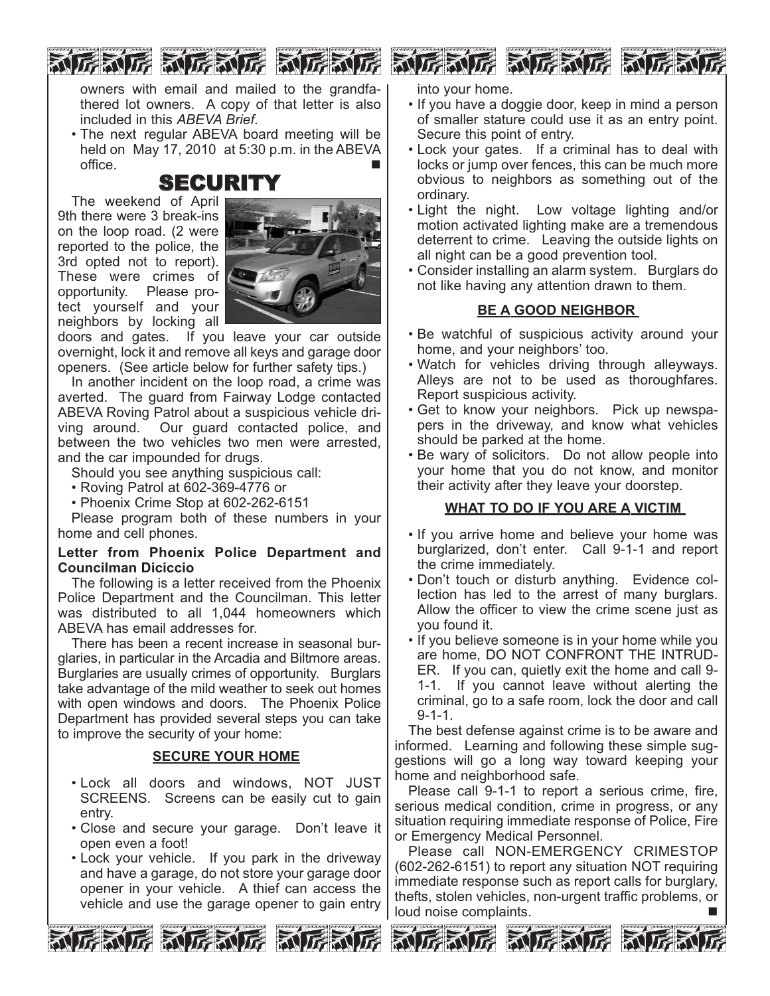owners with email and mailed to the grandfathered lot owners. A copy of that letter is also included in this *ABEVA Brief*.

• The next regular ABEVA board meeting will be held on May 17, 2010 at 5:30 p.m. in the ABEVA office.  $\blacksquare$ 

### SECURITY

The weekend of April 9th there were 3 break-ins on the loop road. (2 were reported to the police, the 3rd opted not to report). These were crimes of opportunity. Please protect yourself and your neighbors by locking all



doors and gates. If you leave your car outside overnight, lock it and remove all keys and garage door openers. (See article below for further safety tips.)

In another incident on the loop road, a crime was averted. The guard from Fairway Lodge contacted ABEVA Roving Patrol about a suspicious vehicle driving around. Our guard contacted police, and between the two vehicles two men were arrested, and the car impounded for drugs.

Should you see anything suspicious call:

• Roving Patrol at 602-369-4776 or

• Phoenix Crime Stop at 602-262-6151

Please program both of these numbers in your home and cell phones.

#### **Letter from Phoenix Police Department and Councilman Diciccio**

The following is a letter received from the Phoenix Police Department and the Councilman. This letter was distributed to all 1,044 homeowners which ABEVA has email addresses for.

There has been a recent increase in seasonal burglaries, in particular in the Arcadia and Biltmore areas. Burglaries are usually crimes of opportunity. Burglars take advantage of the mild weather to seek out homes with open windows and doors. The Phoenix Police Department has provided several steps you can take to improve the security of your home:

#### **SECURE YOUR HOME**

- Lock all doors and windows, NOT JUST SCREENS. Screens can be easily cut to gain entry.
- Close and secure your garage. Don't leave it open even a foot!
- Lock your vehicle. If you park in the driveway and have a garage, do not store your garage door opener in your vehicle. A thief can access the vehicle and use the garage opener to gain entry



和厉利厉 和厉利厉 利

into your home.

- If you have a doggie door, keep in mind a person of smaller stature could use it as an entry point. Secure this point of entry.
- Lock your gates. If a criminal has to deal with locks or jump over fences, this can be much more obvious to neighbors as something out of the ordinary.
- Light the night. Low voltage lighting and/or motion activated lighting make are a tremendous deterrent to crime. Leaving the outside lights on all night can be a good prevention tool.
- Consider installing an alarm system. Burglars do not like having any attention drawn to them.

#### **BE A GOOD NEIGHBOR**

- Be watchful of suspicious activity around your home, and your neighbors' too.
- Watch for vehicles driving through alleyways. Alleys are not to be used as thoroughfares. Report suspicious activity.
- Get to know your neighbors. Pick up newspapers in the driveway, and know what vehicles should be parked at the home.
- Be wary of solicitors. Do not allow people into your home that you do not know, and monitor their activity after they leave your doorstep.

#### **WHAT TO DO IF YOU ARE A VICTIM**

- If you arrive home and believe your home was burglarized, don't enter. Call 9-1-1 and report the crime immediately.
- Don't touch or disturb anything. Evidence collection has led to the arrest of many burglars. Allow the officer to view the crime scene just as you found it.
- If you believe someone is in your home while you are home, DO NOT CONFRONT THE INTRUD-ER. If you can, quietly exit the home and call 9- 1-1. If you cannot leave without alerting the criminal, go to a safe room, lock the door and call 9-1-1.

The best defense against crime is to be aware and informed. Learning and following these simple suggestions will go a long way toward keeping your home and neighborhood safe.

Please call 9-1-1 to report a serious crime, fire, serious medical condition, crime in progress, or any situation requiring immediate response of Police, Fire or Emergency Medical Personnel.

Please call NON-EMERGENCY CRIMESTOP (602-262-6151) to report any situation NOT requiring immediate response such as report calls for burglary, thefts, stolen vehicles, non-urgent traffic problems, or loud noise complaints.



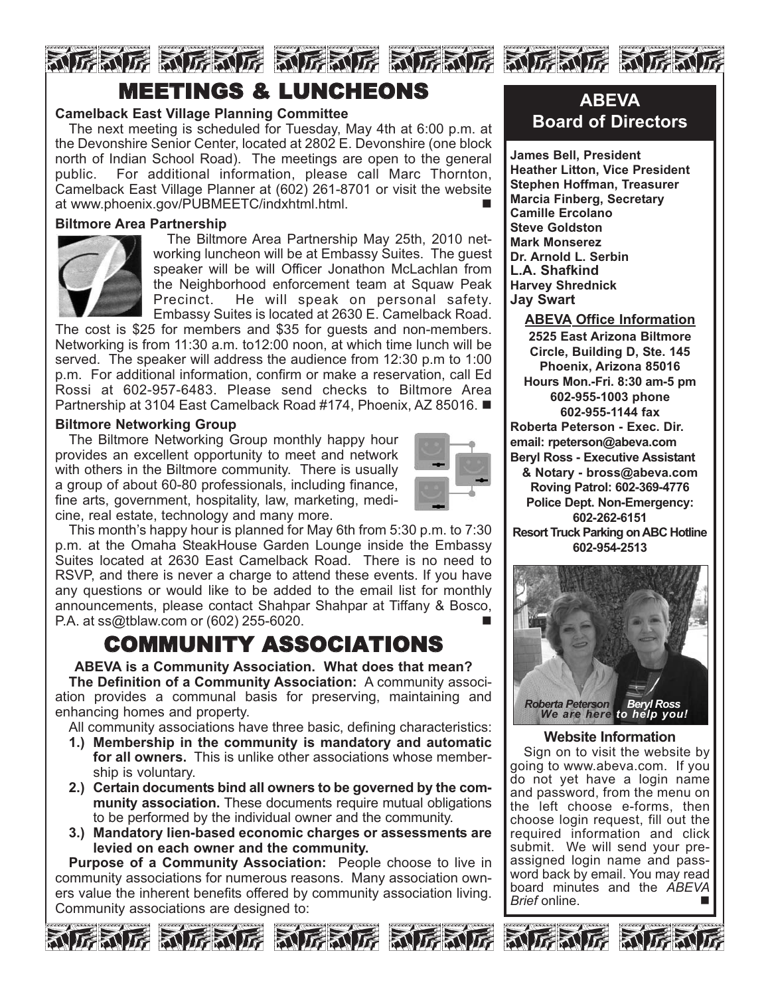### NE NE NENE NENE NENE NENE NENE NE MEETINGS & LUNCHEONS

#### **Camelback East Village Planning Committee**

The next meeting is scheduled for Tuesday, May 4th at 6:00 p.m. at the Devonshire Senior Center, located at 2802 E. Devonshire (one block north of Indian School Road). The meetings are open to the general public. For additional information, please call Marc Thornton, Camelback East Village Planner at (602) 261-8701 or visit the website at www.phoenix.gov/PUBMEETC/indxhtml.html.

#### **Biltmore Area Partnership**



The Biltmore Area Partnership May 25th, 2010 networking luncheon will be at Embassy Suites. The guest speaker will be will Officer Jonathon McLachlan from the Neighborhood enforcement team at Squaw Peak Precinct. He will speak on personal safety. Embassy Suites is located at 2630 E. Camelback Road.

The cost is \$25 for members and \$35 for guests and non-members. Networking is from 11:30 a.m. to12:00 noon, at which time lunch will be served. The speaker will address the audience from 12:30 p.m to 1:00 p.m. For additional information, confirm or make a reservation, call Ed Rossi at 602-957-6483. Please send checks to Biltmore Area Partnership at 3104 East Camelback Road #174, Phoenix, AZ 85016. ■

#### **Biltmore Networking Group**

The Biltmore Networking Group monthly happy hour provides an excellent opportunity to meet and network with others in the Biltmore community. There is usually a group of about 60-80 professionals, including finance, fine arts, government, hospitality, law, marketing, medicine, real estate, technology and many more.



This month's happy hour is planned for May 6th from 5:30 p.m. to 7:30 p.m. at the Omaha SteakHouse Garden Lounge inside the Embassy Suites located at 2630 East Camelback Road. There is no need to RSVP, and there is never a charge to attend these events. If you have any questions or would like to be added to the email list for monthly announcements, please contact Shahpar Shahpar at Tiffany & Bosco, P.A. at  $ss@tblaw.com$  or (602) 255-6020.

### COMMUNITY ASSOCIATIONS

**ABEVA is a Community Association. What does that mean? The Definition of a Community Association:** A community association provides a communal basis for preserving, maintaining and enhancing homes and property.

All community associations have three basic, defining characteristics:

- **1.) Membership in the community is mandatory and automatic for all owners.** This is unlike other associations whose membership is voluntary.
- **2.) Certain documents bind all owners to be governed by the community association.** These documents require mutual obligations to be performed by the individual owner and the community.
- **3.) Mandatory lien-based economic charges or assessments are levied on each owner and the community.**

**Purpose of a Community Association:** People choose to live in community associations for numerous reasons. Many association owners value the inherent benefits offered by community association living. Community associations are designed to:







### **ABEVA Board of Directors**

**James Bell, President Heather Litton, Vice President Stephen Hoffman, Treasurer Marcia Finberg, Secretary Camille Ercolano Steve Goldston Mark Monserez Dr. Arnold L. Serbin L.A. Shafkind Harvey Shrednick Jay Swart**

**ABEVA Office Information 2525 East Arizona Biltmore Circle, Building D, Ste. 145 Phoenix, Arizona 85016 Hours Mon.-Fri. 8:30 am-5 pm 602-955-1003 phone 602-955-1144 fax Roberta Peterson - Exec. Dir. email: rpeterson@abeva.com Beryl Ross - Executive Assistant & Notary - bross@abeva.com Roving Patrol: 602-369-4776 Police Dept. Non-Emergency: 602-262-6151 Resort Truck Parking on ABC Hotline 602-954-2513**



#### **Website Information**

Sign on to visit the website by going to www.abeva.com. If you do not yet have a login name and password, from the menu on the left choose e-forms, then choose login request, fill out the required information and click submit. We will send your preassigned login name and password back by email. You may read board minutes and the *ABEVA Brief* online. ■